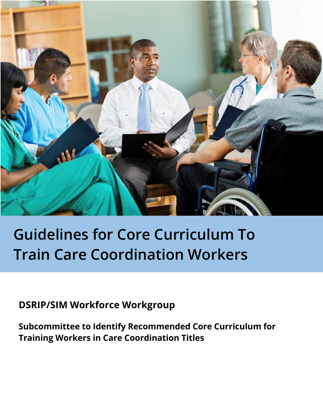

# **Guidelines for Core Curriculum To Train Care Coordination Workers**

**DSRIP/SIM Workforce Workgroup**

**Subcommittee to Identify Recommended Core Curriculum for Training Workers in Care Coordination Titles**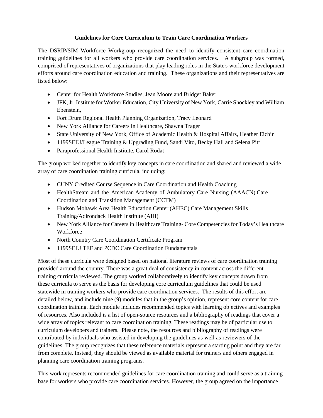## **Guidelines for Core Curriculum to Train Care Coordination Workers**

The DSRIP/SIM Workforce Workgroup recognized the need to identify consistent care coordination training guidelines for all workers who provide care coordination services. A subgroup was formed, comprised of representatives of organizations that play leading roles in the State's workforce development efforts around care coordination education and training. These organizations and their representatives are listed below:

- Center for Health Workforce Studies, Jean Moore and Bridget Baker
- JFK,Jr. Institute for Worker Education, City University of New York, Carrie Shockley and William Ebenstein,
- Fort Drum Regional Health Planning Organization, Tracy Leonard
- New York Alliance for Careers in Healthcare, Shawna Trager
- State University of New York, Office of Academic Health & Hospital Affairs, Heather Eichin
- 1199SEIU/League Training & Upgrading Fund, Sandi Vito, Becky Hall and Selena Pitt
- Paraprofessional Health Institute, Carol Rodat

The group worked together to identify key concepts in care coordination and shared and reviewed a wide array of care coordination training curricula, including:

- CUNY Credited Course Sequence in Care Coordination and Health Coaching
- HealthStream and the American Academy of Ambulatory Care Nursing (AAACN) Care Coordination and Transition Management (CCTM)
- Hudson Mohawk Area Health Education Center (AHEC) Care Management Skills Training/Adirondack Health Institute (AHI)
- New York Alliance for Careers in Healthcare Training- Core Competencies for Today's Healthcare Workforce
- North Country Care Coordination Certificate Program
- 1199SEIU TEF and PCDC Care Coordination Fundamentals

Most of these curricula were designed based on national literature reviews of care coordination training provided around the country. There was a great deal of consistency in content across the different training curricula reviewed. The group worked collaboratively to identify key concepts drawn from these curricula to serve as the basis for developing core curriculum guidelines that could be used statewide in training workers who provide care coordination services. The results of this effort are detailed below, and include nine (9) modules that in the group's opinion, represent core content for care coordination training. Each module includes recommended topics with learning objectives and examples of resources. Also included is a list of open-source resources and a bibliography of readings that cover a wide array of topics relevant to care coordination training. These readings may be of particular use to curriculum developers and trainers. Please note, the resources and bibliography of readings were contributed by individuals who assisted in developing the guidelines as well as reviewers of the guidelines. The group recognizes that these reference materials represent a starting point and they are far from complete. Instead, they should be viewed as available material for trainers and others engaged in planning care coordination training programs.

This work represents recommended guidelines for care coordination training and could serve as a training base for workers who provide care coordination services. However, the group agreed on the importance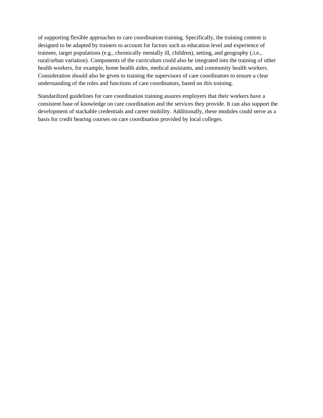of supporting flexible approaches to care coordination training. Specifically, the training content is designed to be adapted by trainers to account for factors such as education level and experience of trainees, target populations (e.g., chronically mentally ill, children), setting, and geography (.i.e., rural/urban variation). Components of the curriculum could also be integrated into the training of other health workers, for example, home health aides, medical assistants, and community health workers. Consideration should also be given to training the supervisors of care coordinators to ensure a clear understanding of the roles and functions of care coordinators, based on this training.

Standardized guidelines for care coordination training assures employers that their workers have a consistent base of knowledge on care coordination and the services they provide. It can also support the development of stackable credentials and career mobility. Additionally, these modules could serve as a basis for credit bearing courses on care coordination provided by local colleges.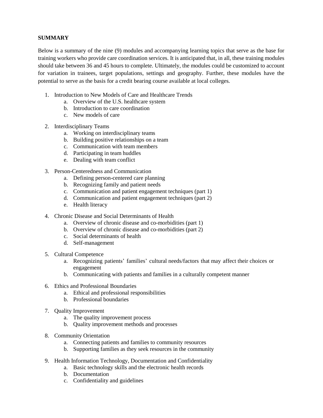## **SUMMARY**

Below is a summary of the nine (9) modules and accompanying learning topics that serve as the base for training workers who provide care coordination services. It is anticipated that, in all, these training modules should take between 36 and 45 hours to complete. Ultimately, the modules could be customized to account for variation in trainees, target populations, settings and geography. Further, these modules have the potential to serve as the basis for a credit bearing course available at local colleges.

- 1. Introduction to New Models of Care and Healthcare Trends
	- a. Overview of the U.S. healthcare system
	- b. Introduction to care coordination
	- c. New models of care
- 2. Interdisciplinary Teams
	- a. Working on interdisciplinary teams
	- b. Building positive relationships on a team
	- c. Communication with team members
	- d. Participating in team huddles
	- e. Dealing with team conflict
- 3. Person-Centeredness and Communication
	- a. Defining person-centered care planning
	- b. Recognizing family and patient needs
	- c. Communication and patient engagement techniques (part 1)
	- d. Communication and patient engagement techniques (part 2)
	- e. Health literacy
- 4. Chronic Disease and Social Determinants of Health
	- a. Overview of chronic disease and co-morbidities (part 1)
	- b. Overview of chronic disease and co-morbidities (part 2)
	- c. Social determinants of health
	- d. Self-management
- 5. Cultural Competence
	- a. Recognizing patients' families' cultural needs/factors that may affect their choices or engagement
	- b. Communicating with patients and families in a culturally competent manner
- 6. Ethics and Professional Boundaries
	- a. Ethical and professional responsibilities
	- b. Professional boundaries
- 7. Quality Improvement
	- a. The quality improvement process
	- b. Quality improvement methods and processes
- 8. Community Orientation
	- a. Connecting patients and families to community resources
	- b. Supporting families as they seek resources in the community
- 9. Health Information Technology, Documentation and Confidentiality
	- a. Basic technology skills and the electronic health records
	- b. Documentation
	- c. Confidentiality and guidelines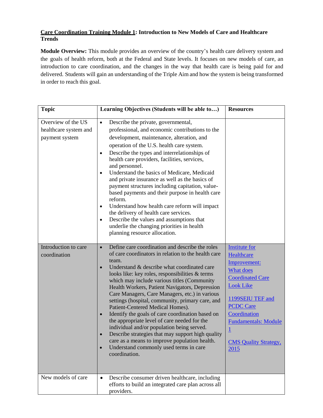## **Care Coordination Training Module 1: Introduction to New Models of Care and Healthcare Trends**

**Module Overview:** This module provides an overview of the country's health care delivery system and the goals of health reform, both at the Federal and State levels. It focuses on new models of care, an introduction to care coordination, and the changes in the way that health care is being paid for and delivered. Students will gain an understanding of the Triple Aim and how the system is being transformed in order to reach this goal.

| <b>Topic</b>                                                  | Learning Objectives (Students will be able to)                                                                                                                                                                                                                                                                                                                                                                                                                                                                                                                                                                                                                                                                                                                                                                                      | <b>Resources</b>                                                                                                                                                                                                                                                       |
|---------------------------------------------------------------|-------------------------------------------------------------------------------------------------------------------------------------------------------------------------------------------------------------------------------------------------------------------------------------------------------------------------------------------------------------------------------------------------------------------------------------------------------------------------------------------------------------------------------------------------------------------------------------------------------------------------------------------------------------------------------------------------------------------------------------------------------------------------------------------------------------------------------------|------------------------------------------------------------------------------------------------------------------------------------------------------------------------------------------------------------------------------------------------------------------------|
| Overview of the US<br>healthcare system and<br>payment system | Describe the private, governmental,<br>$\bullet$<br>professional, and economic contributions to the<br>development, maintenance, alteration, and<br>operation of the U.S. health care system.<br>Describe the types and interrelationships of<br>$\bullet$<br>health care providers, facilities, services,<br>and personnel.<br>Understand the basics of Medicare, Medicaid<br>$\bullet$<br>and private insurance as well as the basics of<br>payment structures including capitation, value-<br>based payments and their purpose in health care<br>reform.<br>Understand how health care reform will impact<br>$\bullet$<br>the delivery of health care services.<br>Describe the values and assumptions that<br>$\bullet$<br>underlie the changing priorities in health<br>planning resource allocation.                          |                                                                                                                                                                                                                                                                        |
| Introduction to care<br>coordination                          | Define care coordination and describe the roles<br>$\bullet$<br>of care coordinators in relation to the health care<br>team.<br>Understand & describe what coordinated care<br>$\bullet$<br>looks like: key roles, responsibilities & terms<br>which may include various titles (Community<br>Health Workers, Patient Navigators, Depression<br>Care Managers, Care Managers, etc.) in various<br>settings (hospital, community, primary care, and<br>Patient-Centered Medical Homes).<br>Identify the goals of care coordination based on<br>$\bullet$<br>the appropriate level of care needed for the<br>individual and/or population being served.<br>Describe strategies that may support high quality<br>care as a means to improve population health.<br>Understand commonly used terms in care<br>$\bullet$<br>coordination. | <b>Institute for</b><br>Healthcare<br>Improvement:<br><b>What does</b><br><b>Coordinated Care</b><br><b>Look Like</b><br>1199SEIU TEF and<br><b>PCDC Care</b><br>Coordination<br><b>Fundamentals: Module</b><br>$\overline{1}$<br><b>CMS Quality Strategy,</b><br>2015 |
| New models of care                                            | Describe consumer driven healthcare, including<br>$\bullet$<br>efforts to build an integrated care plan across all<br>providers.                                                                                                                                                                                                                                                                                                                                                                                                                                                                                                                                                                                                                                                                                                    |                                                                                                                                                                                                                                                                        |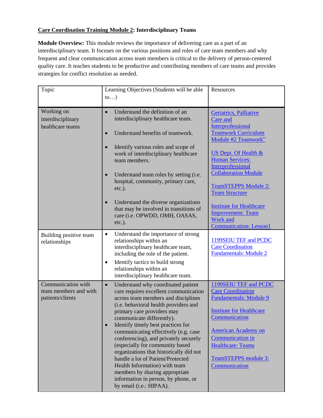## **Care Coordination Training Module 2: Interdisciplinary Teams**

**Module Overview:** This module reviews the importance of delivering care as a part of an interdisciplinary team. It focuses on the various positions and roles of care team members and why frequent and clear communication across team members is critical to the delivery of person-centered quality care. It teaches students to be productive and contributing members of care teams and provides strategies for conflict resolution as needed.

| Topic                                                           | Learning Objectives (Students will be able<br>$\mathfrak{to}$                                                                                                                                                                                                                                                                                                                                                                                                                                                                                                                                                                   | Resources                                                                                                                                                                                                                                                                             |
|-----------------------------------------------------------------|---------------------------------------------------------------------------------------------------------------------------------------------------------------------------------------------------------------------------------------------------------------------------------------------------------------------------------------------------------------------------------------------------------------------------------------------------------------------------------------------------------------------------------------------------------------------------------------------------------------------------------|---------------------------------------------------------------------------------------------------------------------------------------------------------------------------------------------------------------------------------------------------------------------------------------|
| Working on<br>interdisciplinary<br>healthcare teams             | Understand the definition of an<br>$\bullet$<br>interdisciplinary healthcare team.<br>Understand benefits of teamwork.<br>$\bullet$<br>Identify various roles and scope of<br>$\bullet$<br>work of interdisciplinary healthcare<br>team members.<br>Understand team roles by setting (i.e.<br>hospital, community, primary care,<br>$etc.$ ).                                                                                                                                                                                                                                                                                   | Geriatrics, Palliative<br>Care and<br>Interprofessional<br><b>Teamwork Curriculum</b><br>Module #2 Teamwork"<br><b>US Dept. Of Health &amp;</b><br><b>Human Services:</b><br>Interprofessional<br><b>Collaboration Module</b><br><b>TeamSTEPPS Module 2:</b><br><b>Team Structure</b> |
|                                                                 | Understand the diverse organizations<br>$\bullet$<br>that may be involved in transitions of<br>care (i.e. OPWDD, OMH, OASAS,<br>etc.).                                                                                                                                                                                                                                                                                                                                                                                                                                                                                          | <b>Institute for Healthcare</b><br><b>Improvement: Team</b><br>Work and<br><b>Communication: Lesson1</b>                                                                                                                                                                              |
| Building positive team<br>relationships                         | Understand the importance of strong<br>$\bullet$<br>relationships within an<br>interdisciplinary healthcare team,<br>including the role of the patient.<br>Identify tactics to build strong<br>$\bullet$<br>relationships within an<br>interdisciplinary healthcare team.                                                                                                                                                                                                                                                                                                                                                       | 1199SEIU TEF and PCDC<br><b>Care Coordination</b><br><b>Fundamentals: Module 2</b>                                                                                                                                                                                                    |
| Communication with<br>team members and with<br>patients/clients | Understand why coordinated patient<br>$\bullet$<br>care requires excellent communication<br>across team members and disciplines<br>(i.e. behavioral health providers and<br>primary care providers may<br>communicate differently).<br>Identify timely best practices for<br>$\bullet$<br>communicating effectively (e.g. case<br>conferencing), and privately securely<br>(especially for community based<br>organizations that historically did not<br>handle a lot of Patient/Protected<br>Health Information) with team<br>members by sharing appropriate<br>information in person, by phone, or<br>by email (i.e.: HIPAA). | 1199SEIU TEF and PCDC<br><b>Care Coordination</b><br><b>Fundamentals: Module 9</b><br><b>Institute for Healthcare</b><br>Communication<br><b>American Academy on</b><br>Communication in<br><b>Healthcare: Teams</b><br><b>TeamSTEPPS</b> module 3:<br>Communication                  |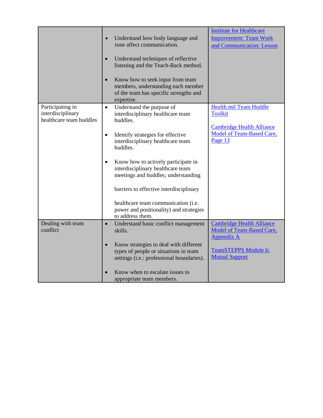|                                                                  | Understand how body language and<br>$\bullet$<br>tone affect communication.<br>Understand techniques of reflective<br>$\bullet$<br>listening and the Teach-Back method.<br>Know how to seek input from team<br>$\bullet$<br>members, understanding each member<br>of the team has specific strengths and<br>expertise.                                                                                                                                                      | <b>Institute for Healthcare</b><br><b>Improvement: Team Work</b><br>and Communication: Lesson                                                     |
|------------------------------------------------------------------|-----------------------------------------------------------------------------------------------------------------------------------------------------------------------------------------------------------------------------------------------------------------------------------------------------------------------------------------------------------------------------------------------------------------------------------------------------------------------------|---------------------------------------------------------------------------------------------------------------------------------------------------|
| Participating in<br>interdisciplinary<br>healthcare team huddles | Understand the purpose of<br>$\bullet$<br>interdisciplinary healthcare team<br>huddles.<br>Identify strategies for effective<br>$\bullet$<br>interdisciplinary healthcare team<br>huddles.<br>Know how to actively participate in<br>$\bullet$<br>interdisciplinary healthcare team<br>meetings and huddles; understanding<br>barriers to effective interdisciplinary<br>healthcare team communication (i.e.<br>power and positionality) and strategies<br>to address them. | <b>Health.mil Team Huddle</b><br><b>Toolkit</b><br><b>Cambridge Health Alliance</b><br>Model of Team-Based Care,<br>Page 13                       |
| Dealing with team<br>conflict                                    | Understand basic conflict management<br>$\bullet$<br>skills.<br>Know strategies to deal with different<br>$\bullet$<br>types of people or situations in team<br>settings (i.e.: professional boundaries).<br>Know when to escalate issues to<br>appropriate team members.                                                                                                                                                                                                   | <b>Cambridge Health Alliance</b><br><b>Model of Team-Based Care,</b><br><b>Appendix A</b><br><b>TeamSTEPPS Module 6:</b><br><b>Mutual Support</b> |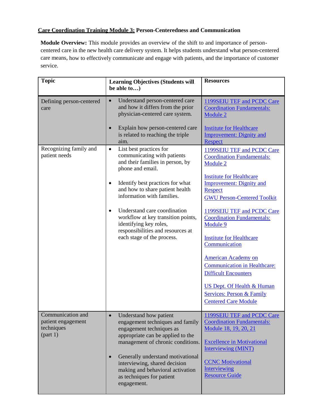# **Care Coordination Training Module 3: Person-Centeredness and Communication**

**Module Overview:** This module provides an overview of the shift to and importance of personcentered care in the new health care delivery system. It helps students understand what person-centered care means, how to effectively communicate and engage with patients, and the importance of customer service.

| <b>Topic</b>                                                      | <b>Learning Objectives (Students will</b><br>be able to)                                                                                                                                                                                                                                                                                                                                                                 | <b>Resources</b>                                                                                                                                                                                                                                                                                                                                                                                                                                                                                                                                                     |
|-------------------------------------------------------------------|--------------------------------------------------------------------------------------------------------------------------------------------------------------------------------------------------------------------------------------------------------------------------------------------------------------------------------------------------------------------------------------------------------------------------|----------------------------------------------------------------------------------------------------------------------------------------------------------------------------------------------------------------------------------------------------------------------------------------------------------------------------------------------------------------------------------------------------------------------------------------------------------------------------------------------------------------------------------------------------------------------|
| Defining person-centered<br>care                                  | Understand person-centered care<br>$\bullet$<br>and how it differs from the prior<br>physician-centered care system.<br>Explain how person-centered care<br>$\bullet$<br>is related to reaching the triple                                                                                                                                                                                                               | 1199SEIU TEF and PCDC Care<br><b>Coordination Fundamentals:</b><br>Module 2<br><b>Institute for Healthcare</b><br><b>Improvement: Dignity and</b>                                                                                                                                                                                                                                                                                                                                                                                                                    |
| Recognizing family and<br>patient needs                           | aim.<br>List best practices for<br>$\bullet$<br>communicating with patients<br>and their families in person, by<br>phone and email.<br>Identify best practices for what<br>and how to share patient health<br>information with families.<br>Understand care coordination<br>$\bullet$<br>workflow at key transition points,<br>identifying key roles,<br>responsibilities and resources at<br>each stage of the process. | Respect<br>1199SEIU TEF and PCDC Care<br><b>Coordination Fundamentals:</b><br>Module 2<br><b>Institute for Healthcare</b><br><b>Improvement: Dignity and</b><br>Respect<br><b>GWU Person-Centered Toolkit</b><br>1199SEIU TEF and PCDC Care<br><b>Coordination Fundamentals:</b><br>Module 9<br><b>Institute for Healthcare</b><br>Communication<br><b>American Academy on</b><br><b>Communication in Healthcare:</b><br><b>Difficult Encounters</b><br><b>US Dept. Of Health &amp; Human</b><br><b>Services: Person &amp; Family</b><br><b>Centered Care Module</b> |
| Communication and<br>patient engagement<br>techniques<br>(part 1) | Understand how patient<br>engagement techniques and family<br>engagement techniques as<br>appropriate can be applied to the<br>management of chronic conditions.<br>Generally understand motivational<br>$\bullet$<br>interviewing, shared decision<br>making and behavioral activation<br>as techniques for patient<br>engagement.                                                                                      | 1199SEIU TEF and PCDC Care<br><b>Coordination Fundamentals:</b><br>Module 18, 19, 20, 21<br><b>Excellence in Motivational</b><br><b>Interviewing (MINT)</b><br><b>CCNC</b> Motivational<br><b>Interviewing</b><br><b>Resource Guide</b>                                                                                                                                                                                                                                                                                                                              |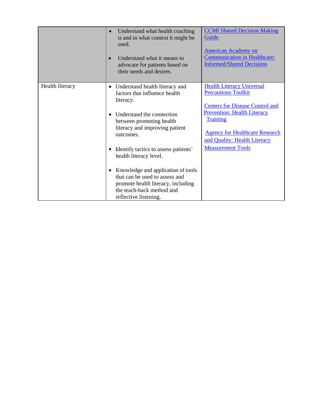|                 | Understand what health coaching<br>$\bullet$<br>is and in what context it might be<br>used.<br>Understand what it means to<br>advocate for patients based on<br>their needs and desires.                                                                                                                                                                                                                                                                          | <b>CCMI</b> Shared Decision Making<br>Guide<br><b>American Academy on</b><br><b>Communication in Healthcare:</b><br><b>Informed/Shared Decisions</b>                                                                                                                   |
|-----------------|-------------------------------------------------------------------------------------------------------------------------------------------------------------------------------------------------------------------------------------------------------------------------------------------------------------------------------------------------------------------------------------------------------------------------------------------------------------------|------------------------------------------------------------------------------------------------------------------------------------------------------------------------------------------------------------------------------------------------------------------------|
| Health literacy | Understand health literacy and<br>$\bullet$<br>factors that influence health<br>literacy.<br>Understand the connection<br>between promoting health<br>literacy and improving patient<br>outcomes.<br>Identify tactics to assess patients'<br>$\bullet$<br>health literacy level.<br>Knowledge and application of tools<br>$\bullet$<br>that can be used to assess and<br>promote health literacy, including<br>the teach-back method and<br>reflective listening. | <b>Health Literacy Universal</b><br><b>Precautions Toolkit</b><br><b>Centers for Disease Control and</b><br><b>Prevention: Health Literacy</b><br><b>Training</b><br><b>Agency for Healthcare Research</b><br>and Quality: Health Literacy<br><b>Measurement Tools</b> |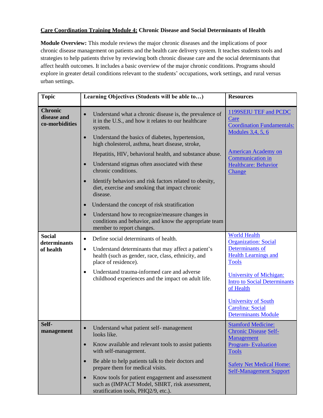## **Care Coordination Training Module 4: Chronic Disease and Social Determinants of Health**

**Module Overview:** This module reviews the major chronic diseases and the implications of poor chronic disease management on patients and the health care delivery system. It teaches students tools and strategies to help patients thrive by reviewing both chronic disease care and the social determinants that affect health outcomes. It includes a basic overview of the major chronic conditions. Programs should explore in greater detail conditions relevant to the students' occupations, work settings, and rural versus urban settings.

| <b>Topic</b>                                    | Learning Objectives (Students will be able to)                                                                                                                                                                                                                                                                                                                                                                                                                                                                                                                                                                                                                                   | <b>Resources</b>                                                                                                                                                                                    |
|-------------------------------------------------|----------------------------------------------------------------------------------------------------------------------------------------------------------------------------------------------------------------------------------------------------------------------------------------------------------------------------------------------------------------------------------------------------------------------------------------------------------------------------------------------------------------------------------------------------------------------------------------------------------------------------------------------------------------------------------|-----------------------------------------------------------------------------------------------------------------------------------------------------------------------------------------------------|
| <b>Chronic</b><br>disease and<br>co-morbidities | Understand what a chronic disease is, the prevalence of<br>$\bullet$<br>it in the U.S., and how it relates to our healthcare<br>system.<br>Understand the basics of diabetes, hypertension,<br>$\bullet$<br>high cholesterol, asthma, heart disease, stroke,<br>Hepatitis, HIV, behavioral health, and substance abuse.<br>Understand stigmas often associated with these<br>$\bullet$<br>chronic conditions.<br>Identify behaviors and risk factors related to obesity,<br>$\bullet$<br>diet, exercise and smoking that impact chronic<br>disease.<br>Understand the concept of risk stratification<br>$\bullet$<br>Understand how to recognize/measure changes in<br>$\bullet$ | 1199SEIU TEF and PCDC<br>Care<br><b>Coordination Fundamentals:</b><br>Modules 3,4, 5, 6<br><b>American Academy on</b><br><b>Communication</b> in<br><b>Healthcare: Behavior</b><br>Change           |
|                                                 | conditions and behavior, and know the appropriate team<br>member to report changes.                                                                                                                                                                                                                                                                                                                                                                                                                                                                                                                                                                                              |                                                                                                                                                                                                     |
| <b>Social</b><br>determinants<br>of health      | Define social determinants of health.<br>$\bullet$<br>Understand determinants that may affect a patient's<br>$\bullet$<br>health (such as gender, race, class, ethnicity, and<br>place of residence).<br>Understand trauma-informed care and adverse<br>$\bullet$<br>childhood experiences and the impact on adult life.                                                                                                                                                                                                                                                                                                                                                         | <b>World Health</b><br><b>Organization: Social</b><br>Determinants of<br><b>Health Learnings and</b><br><b>Tools</b><br>University of Michigan:<br><b>Intro to Social Determinants</b><br>of Health |
|                                                 |                                                                                                                                                                                                                                                                                                                                                                                                                                                                                                                                                                                                                                                                                  | <b>University of South</b><br><b>Carolina: Social</b><br>Determinants Module                                                                                                                        |
| Self-<br>management                             | Understand what patient self- management<br>looks like.<br>Know available and relevant tools to assist patients<br>$\bullet$<br>with self-management.                                                                                                                                                                                                                                                                                                                                                                                                                                                                                                                            | <b>Stamford Medicine:</b><br><b>Chronic Disease Self-</b><br>Management<br><b>Program-Evaluation</b>                                                                                                |
|                                                 | Be able to help patients talk to their doctors and<br>$\bullet$<br>prepare them for medical visits.<br>Know tools for patient engagement and assessment<br>$\bullet$<br>such as (IMPACT Model, SBIRT, risk assessment,<br>stratification tools, PHQ2/9, etc.).                                                                                                                                                                                                                                                                                                                                                                                                                   | <b>Tools</b><br><b>Safety Net Medical Home:</b><br><b>Self-Management Support</b>                                                                                                                   |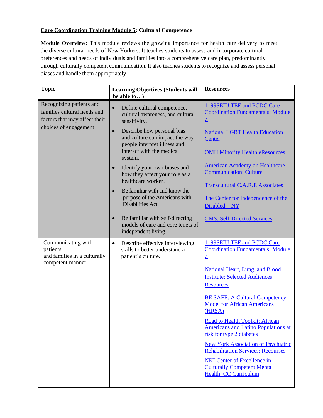# **Care Coordination Training Module 5: Cultural Competence**

**Module Overview:** This module reviews the growing importance for health care delivery to meet the diverse cultural needs of New Yorkers. It teaches students to assess and incorporate cultural preferences and needs of individuals and families into a comprehensive care plan, predominantly through culturally competent communication. It also teaches students to recognize and assess personal biases and handle them appropriately

| <b>Topic</b>                                                                             | <b>Learning Objectives (Students will</b><br>be able to)                                                                                                                                                                                                                                                                                      | <b>Resources</b>                                                                                                                                                                                                                                                                                                                                                                                                                                                                                                                                                                                            |
|------------------------------------------------------------------------------------------|-----------------------------------------------------------------------------------------------------------------------------------------------------------------------------------------------------------------------------------------------------------------------------------------------------------------------------------------------|-------------------------------------------------------------------------------------------------------------------------------------------------------------------------------------------------------------------------------------------------------------------------------------------------------------------------------------------------------------------------------------------------------------------------------------------------------------------------------------------------------------------------------------------------------------------------------------------------------------|
| Recognizing patients and<br>families cultural needs and<br>factors that may affect their | Define cultural competence,<br>$\bullet$<br>cultural awareness, and cultural<br>sensitivity.                                                                                                                                                                                                                                                  | 1199SEIU TEF and PCDC Care<br><b>Coordination Fundamentals: Module</b><br>$\overline{1}$                                                                                                                                                                                                                                                                                                                                                                                                                                                                                                                    |
| choices of engagement                                                                    | Describe how personal bias<br>$\bullet$<br>and culture can impact the way<br>people interpret illness and<br>interact with the medical<br>system.<br>Identify your own biases and<br>$\bullet$<br>how they affect your role as a<br>healthcare worker.<br>Be familiar with and know the<br>purpose of the Americans with<br>Disabilities Act. | <b>National LGBT Health Education</b><br>Center<br><b>OMH Minority Health eResources</b><br><b>American Academy on Healthcare</b><br><b>Communication: Culture</b><br><b>Transcultural C.A.R.E Associates</b><br>The Center for Independence of the<br>Disabled - NY                                                                                                                                                                                                                                                                                                                                        |
|                                                                                          | Be familiar with self-directing<br>$\bullet$<br>models of care and core tenets of<br>independent living                                                                                                                                                                                                                                       | <b>CMS: Self-Directed Services</b>                                                                                                                                                                                                                                                                                                                                                                                                                                                                                                                                                                          |
| Communicating with<br>patients<br>and families in a culturally<br>competent manner       | Describe effective interviewing<br>$\bullet$<br>skills to better understand a<br>patient's culture.                                                                                                                                                                                                                                           | 1199SEIU TEF and PCDC Care<br><b>Coordination Fundamentals: Module</b><br>$\overline{1}$<br><b>National Heart, Lung, and Blood</b><br><b>Institute: Selected Audiences</b><br><b>Resources</b><br><b>BE SAFE: A Cultural Competency</b><br><b>Model for African Americans</b><br>(HRSA)<br>Road to Health Toolkit: African<br><b>Americans and Latino Populations at</b><br>risk for type 2 diabetes<br><b>New York Association of Psychiatric</b><br><b>Rehabilitation Services: Recourses</b><br><b>NKI</b> Center of Excellence in<br><b>Culturally Competent Mental</b><br><b>Health: CC Curriculum</b> |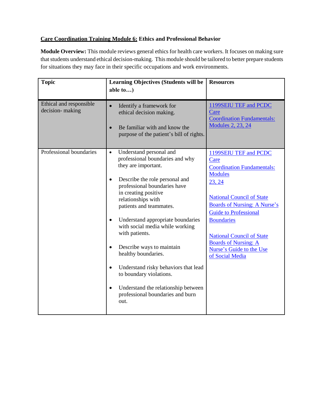# **Care Coordination Training Module 6: Ethics and Professional Behavior**

**Module Overview:** This module reviews general ethics for health care workers. It focuses on making sure that students understand ethical decision-making. This module should be tailored to better prepare students for situations they may face in their specific occupations and work environments.

| <b>Topic</b>                               | <b>Learning Objectives (Students will be</b><br>able to)                                                                                                                                                                                                                                                                                                                                                                                                                                                                                                        | <b>Resources</b>                                                                                                                                                                                                                                                                                                                                 |
|--------------------------------------------|-----------------------------------------------------------------------------------------------------------------------------------------------------------------------------------------------------------------------------------------------------------------------------------------------------------------------------------------------------------------------------------------------------------------------------------------------------------------------------------------------------------------------------------------------------------------|--------------------------------------------------------------------------------------------------------------------------------------------------------------------------------------------------------------------------------------------------------------------------------------------------------------------------------------------------|
| Ethical and responsible<br>decision-making | Identify a framework for<br>$\bullet$<br>ethical decision making.<br>Be familiar with and know the<br>purpose of the patient's bill of rights.                                                                                                                                                                                                                                                                                                                                                                                                                  | 1199SEIU TEF and PCDC<br>Care<br><b>Coordination Fundamentals:</b><br><b>Modules 2, 23, 24</b>                                                                                                                                                                                                                                                   |
| Professional boundaries                    | Understand personal and<br>$\bullet$<br>professional boundaries and why<br>they are important.<br>Describe the role personal and<br>professional boundaries have<br>in creating positive<br>relationships with<br>patients and teammates.<br>Understand appropriate boundaries<br>$\bullet$<br>with social media while working<br>with patients.<br>Describe ways to maintain<br>healthy boundaries.<br>Understand risky behaviors that lead<br>to boundary violations.<br>Understand the relationship between<br>٠<br>professional boundaries and burn<br>out. | 1199SEIU TEF and PCDC<br>Care<br><b>Coordination Fundamentals:</b><br><b>Modules</b><br>23, 24<br><b>National Council of State</b><br><b>Boards of Nursing: A Nurse's</b><br><b>Guide to Professional</b><br><b>Boundaries</b><br><b>National Council of State</b><br><b>Boards of Nursing: A</b><br>Nurse's Guide to the Use<br>of Social Media |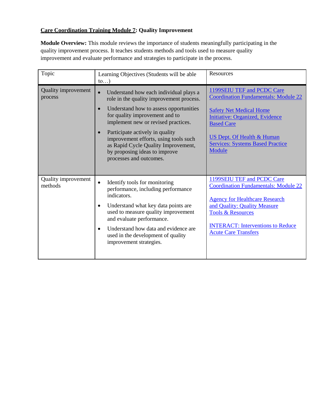# **Care Coordination Training Module 7: Quality Improvement**

**Module Overview:** This module reviews the importance of students meaningfully participating in the quality improvement process. It teaches students methods and tools used to measure quality improvement and evaluate performance and strategies to participate in the process.

| Topic                          | Learning Objectives (Students will be able<br>$\mathfrak{to}$ )                                                                                                                                                                                                                                                                                                                                   | Resources                                                                                                                                                                                                                                                                |
|--------------------------------|---------------------------------------------------------------------------------------------------------------------------------------------------------------------------------------------------------------------------------------------------------------------------------------------------------------------------------------------------------------------------------------------------|--------------------------------------------------------------------------------------------------------------------------------------------------------------------------------------------------------------------------------------------------------------------------|
| Quality improvement<br>process | Understand how each individual plays a<br>$\bullet$<br>role in the quality improvement process.<br>Understand how to assess opportunities<br>for quality improvement and to<br>implement new or revised practices.<br>Participate actively in quality<br>improvement efforts, using tools such<br>as Rapid Cycle Quality Improvement,<br>by proposing ideas to improve<br>processes and outcomes. | 1199SEIU TEF and PCDC Care<br><b>Coordination Fundamentals: Module 22</b><br><b>Safety Net Medical Home</b><br><b>Initiative: Organized, Evidence</b><br><b>Based Care</b><br><b>US Dept. Of Health &amp; Human</b><br><b>Services: Systems Based Practice</b><br>Module |
| Quality improvement<br>methods | Identify tools for monitoring<br>performance, including performance<br>indicators.<br>Understand what key data points are<br>used to measure quality improvement<br>and evaluate performance.<br>Understand how data and evidence are<br>used in the development of quality<br>improvement strategies.                                                                                            | 1199SEIU TEF and PCDC Care<br><b>Coordination Fundamentals: Module 22</b><br><b>Agency for Healthcare Research</b><br>and Quality: Quality Measure<br><b>Tools &amp; Resources</b><br><b>INTERACT:</b> Interventions to Reduce<br><b>Acute Care Transfers</b>            |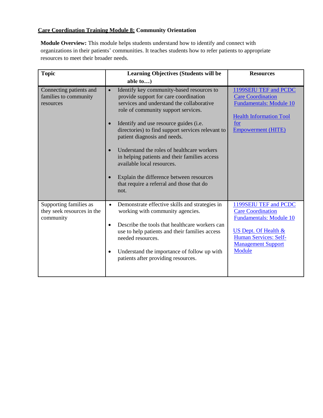# **Care Coordination Training Module 8: Community Orientation**

**Module Overview:** This module helps students understand how to identify and connect with organizations in their patients' communities. It teaches students how to refer patients to appropriate resources to meet their broader needs.

| <b>Topic</b>                                                      | Learning Objectives (Students will be                                                                                                                                                                                                                                                                                       | <b>Resources</b>                                                                                                                                                                              |
|-------------------------------------------------------------------|-----------------------------------------------------------------------------------------------------------------------------------------------------------------------------------------------------------------------------------------------------------------------------------------------------------------------------|-----------------------------------------------------------------------------------------------------------------------------------------------------------------------------------------------|
|                                                                   | able to)                                                                                                                                                                                                                                                                                                                    |                                                                                                                                                                                               |
| Connecting patients and<br>families to community<br>resources     | Identify key community-based resources to<br>$\bullet$<br>provide support for care coordination<br>services and understand the collaborative<br>role of community support services.                                                                                                                                         | 1199SEIU TEF and PCDC<br><b>Care Coordination</b><br><b>Fundamentals: Module 10</b><br><b>Health Information Tool</b>                                                                         |
|                                                                   | Identify and use resource guides ( <i>i.e.</i><br>directories) to find support services relevant to<br>patient diagnosis and needs.<br>Understand the roles of healthcare workers<br>in helping patients and their families access<br>available local resources.                                                            | for<br><b>Empowerment (HITE)</b>                                                                                                                                                              |
|                                                                   | Explain the difference between resources<br>that require a referral and those that do<br>not.                                                                                                                                                                                                                               |                                                                                                                                                                                               |
| Supporting families as<br>they seek resources in the<br>community | Demonstrate effective skills and strategies in<br>$\bullet$<br>working with community agencies.<br>Describe the tools that healthcare workers can<br>$\bullet$<br>use to help patients and their families access<br>needed resources.<br>Understand the importance of follow up with<br>patients after providing resources. | 1199SEIU TEF and PCDC<br><b>Care Coordination</b><br><b>Fundamentals: Module 10</b><br><b>US Dept. Of Health &amp;</b><br><b>Human Services: Self-</b><br><b>Management Support</b><br>Module |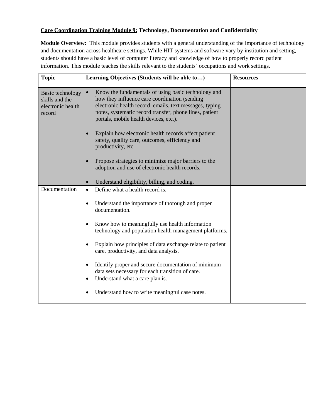# **Care Coordination Training Module 9: Technology, Documentation and Confidentiality**

**Module Overview:** This module provides students with a general understanding of the importance of technology and documentation across healthcare settings. While HIT systems and software vary by institution and setting, students should have a basic level of computer literacy and knowledge of how to properly record patient information. This module teaches the skills relevant to the students' occupations and work settings.

| <b>Topic</b>                                                      | Learning Objectives (Students will be able to)                                                                                                                                                                                                                       | <b>Resources</b> |
|-------------------------------------------------------------------|----------------------------------------------------------------------------------------------------------------------------------------------------------------------------------------------------------------------------------------------------------------------|------------------|
| Basic technology<br>skills and the<br>electronic health<br>record | Know the fundamentals of using basic technology and<br>how they influence care coordination (sending<br>electronic health record, emails, text messages, typing<br>notes, systematic record transfer, phone lines, patient<br>portals, mobile health devices, etc.). |                  |
|                                                                   | Explain how electronic health records affect patient<br>safety, quality care, outcomes, efficiency and<br>productivity, etc.                                                                                                                                         |                  |
|                                                                   | Propose strategies to minimize major barriers to the<br>adoption and use of electronic health records.                                                                                                                                                               |                  |
|                                                                   | Understand eligibility, billing, and coding.                                                                                                                                                                                                                         |                  |
| Documentation                                                     | Define what a health record is.<br>Understand the importance of thorough and proper<br>$\bullet$<br>documentation.                                                                                                                                                   |                  |
|                                                                   | Know how to meaningfully use health information<br>$\bullet$<br>technology and population health management platforms.                                                                                                                                               |                  |
|                                                                   | Explain how principles of data exchange relate to patient<br>٠<br>care, productivity, and data analysis.                                                                                                                                                             |                  |
|                                                                   | Identify proper and secure documentation of minimum<br>$\bullet$<br>data sets necessary for each transition of care.<br>Understand what a care plan is.<br>$\bullet$                                                                                                 |                  |
|                                                                   | Understand how to write meaningful case notes.<br>$\bullet$                                                                                                                                                                                                          |                  |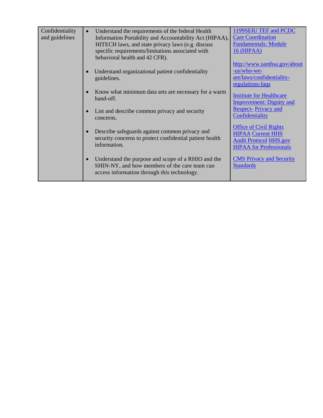| Confidentiality<br>and guidelines | $\bullet$ | Understand the requirements of the federal Health<br>Information Portability and Accountability Act (HIPAA),<br>HITECH laws, and state privacy laws (e.g. discuss<br>specific requirements/limitations associated with<br>behavioral health and 42 CFR). | 1199SEIU TEF and PCDC<br><b>Care Coordination</b><br><b>Fundamentals: Module</b><br><b>16 (HIPAA)</b>                        |
|-----------------------------------|-----------|----------------------------------------------------------------------------------------------------------------------------------------------------------------------------------------------------------------------------------------------------------|------------------------------------------------------------------------------------------------------------------------------|
|                                   | $\bullet$ | Understand organizational patient confidentiality<br>guidelines.                                                                                                                                                                                         | http://www.samhsa.gov/about<br><u>-us/who-we-</u><br>are/laws/confidentiality-<br>regulations-faqs                           |
|                                   | $\bullet$ | Know what minimum data sets are necessary for a warm<br>hand-off.                                                                                                                                                                                        | <b>Institute for Healthcare</b><br><b>Improvement: Dignity and</b>                                                           |
|                                   | $\bullet$ | List and describe common privacy and security<br>concerns.                                                                                                                                                                                               | <b>Respect-Privacy and</b><br>Confidentiality                                                                                |
|                                   | $\bullet$ | Describe safeguards against common privacy and<br>security concerns to protect confidential patient health<br>information.                                                                                                                               | <b>Office of Civil Rights</b><br><b>HIPAA Current HHS</b><br><b>Audit Protocol HHS.gov</b><br><b>HIPAA</b> for Professionals |
|                                   | $\bullet$ | Understand the purpose and scope of a RHIO and the<br>SHIN-NY, and how members of the care team can<br>access information through this technology.                                                                                                       | <b>CMS Privacy and Security</b><br><b>Standards</b>                                                                          |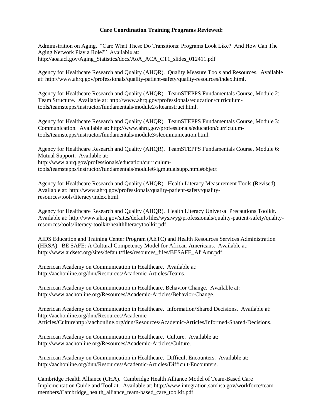#### **Care Coordination Training Programs Reviewed:**

Administration on Aging. "Care What These Do Transitions: Programs Look Like? And How Can The Aging Network Play a Role?" Available at: http://aoa.acl.gov/Aging\_Statistics/docs/AoA\_ACA\_CT1\_slides\_012411.pdf

Agency for Healthcare Research and Quality (AHQR). Quality Measure Tools and Resources. Available at: [http://www.ahrq.gov/professionals/quality-patient-safety/quality-resources/index.html.](http://www.ahrq.gov/professionals/quality-patient-safety/quality-resources/index.html)

Agency for Healthcare Research and Quality (AHQR). TeamSTEPPS Fundamentals Course, Module 2: Team Structure. Available at: [http://www.ahrq.gov/professionals/education/curriculum](http://www.ahrq.gov/professionals/education/curriculum-)tools/teamstepps/instructor/fundamentals/module2/slteamstruct.html.

Agency for Healthcare Research and Quality (AHQR). TeamSTEPPS Fundamentals Course, Module 3: Communication. Available at: [http://www.ahrq.gov/professionals/education/curriculum](http://www.ahrq.gov/professionals/education/curriculum-)tools/teamstepps/instructor/fundamentals/module3/slcommunication.html.

Agency for Healthcare Research and Quality (AHQR). TeamSTEPPS Fundamentals Course, Module 6: Mutual Support. Available at: [http://www.ahrq.gov/professionals/education/curriculum](http://www.ahrq.gov/professionals/education/curriculum-)tools/teamstepps/instructor/fundamentals/module6/igmutualsupp.html#object

Agency for Healthcare Research and Quality (AHQR). Health Literacy Measurement Tools (Revised). Available at: [http://www.ahrq.gov/professionals/quality-patient-safety/quality](http://www.ahrq.gov/professionals/quality-patient-safety/quality-)resources/tools/literacy/index.html.

Agency for Healthcare Research and Quality (AHQR). Health Literacy Universal Precautions Toolkit. Available at: [http://www.ahrq.gov/sites/default/files/wysiwyg/professionals/quality-patient-safety/quality](http://www.ahrq.gov/sites/default/files/wysiwyg/professionals/quality-patient-safety/quality-)resources/tools/literacy-toolkit/healthliteracytoolkit.pdf.

AIDS Education and Training Center Program (AETC) and Health Resources Services Administration (HRSA). BE SAFE: A Cultural Competency Model for African-Americans. Available at[:](http://www.aidsetc.org/sites/default/files/resources_files/BESAFE_AfrAmr.pdf) [http://www.aidsetc.org/sites/default/files/resources\\_files/BESAFE\\_AfrAmr.pdf.](http://www.aidsetc.org/sites/default/files/resources_files/BESAFE_AfrAmr.pdf)

American Academy on Communication in Healthcare. Available at: [http://aachonline.org/dnn/Resources/Academic-Articles/Teams.](http://aachonline.org/dnn/Resources/Academic-Articles/Teams)

American Academy on Communication in Healthcare. Behavior Change. Available at: [http://www.aachonline.org/Resources/Academic-Articles/Behavior-Change.](http://www.aachonline.org/Resources/Academic-Articles/Behavior-Change)

American Academy on Communication in Healthcare. Information/Shared Decisions. Available at[:](http://aachonline.org/dnn/Resources/Academic-) <http://aachonline.org/dnn/Resources/Academic->Articles/Cultur[ehttp://aachonline.org/dnn/Resources/Academic-Articles/Informed-Shared-Decisions.](http://aachonline.org/dnn/Resources/Academic-Articles/Informed-Shared-Decisions)

American Academy on Communication in Healthcare. Culture. Available at: [http://www.aachonline.org/Resources/Academic-Articles/Culture.](http://www.aachonline.org/Resources/Academic-Articles/Culture)

American Academy on Communication in Healthcare. Difficult Encounters. Available at: [http://aachonline.org/dnn/Resources/Academic-Articles/Difficult-Encounters.](http://aachonline.org/dnn/Resources/Academic-Articles/Difficult-Encounters)

Cambridge Health Alliance (CHA). Cambridge Health Alliance Model of Team-Based Care Implementation Guide and Toolkit. Available at: [http://www.integration.samhsa.gov/workforce/team](http://www.integration.samhsa.gov/workforce/team-)members/Cambridge\_health\_alliance\_team-based\_care\_toolkit.pdf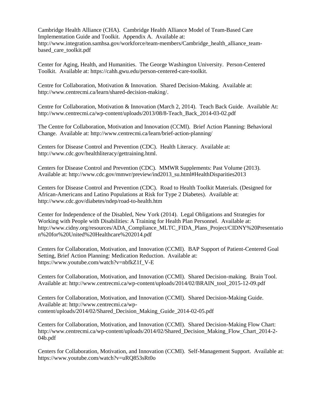Cambridge Health Alliance (CHA). Cambridge Health Alliance Model of Team-Based Care Implementation Guide and Toolkit. Appendix A. Available at[:](http://www.integration.samhsa.gov/workforce/team-members/Cambridge_health_alliance_team-) [http://www.integration.samhsa.gov/workforce/team-members/Cambridge\\_health\\_alliance\\_team](http://www.integration.samhsa.gov/workforce/team-members/Cambridge_health_alliance_team-)based\_care\_toolkit.pdf

Center for Aging, Health, and Humanities. The George Washington University. Person-Centered Toolkit. Available at: https://cahh.gwu.edu/person-centered-care-toolkit.

Centre for Collaboration, Motivation & Innovation. Shared Decision-Making. Available at: [http://www.centrecmi.ca/learn/shared-decision-making/.](http://www.centrecmi.ca/learn/shared-decision-making/)

Centre for Collaboration, Motivation & Innovation (March 2, 2014). Teach Back Guide. Available At: http://www.centrecmi.ca/wp-content/uploads/2013/08/8-Teach\_Back\_2014-03-02.pdf

The Centre for Collaboration, Motivation and Innovation (CCMI). Brief Action Planning: Behavioral Change. Available at: http://www.centrecmi.ca/learn/brief-action-planning/

Centers for Disease Control and Prevention (CDC). Health Literacy. Available at: [http://www.cdc.gov/healthliteracy/gettraining.html.](http://www.cdc.gov/healthliteracy/gettraining.html)

Centers for Disease Control and Prevention (CDC). MMWR Supplements: Past Volume (2013). Available at: http://www.cdc.gov/mmwr/preview/ind2013\_su.html#HealthDisparities2013

Centers for Disease Control and Prevention (CDC). Road to Health Toolkit Materials. (Designed for African-Americans and Latino Populations at Risk for Type 2 Diabetes). Available at[:](http://www.cdc.gov/diabetes/ndep/road-to-health.htm) <http://www.cdc.gov/diabetes/ndep/road-to-health.htm>

Center for Independence of the Disabled, New York (2014). Legal Obligations and Strategies for Working with People with Disabilities: A Training for Health Plan Personnel. Available at: http://www.cidny.org/resources/ADA\_Compliance\_MLTC\_FIDA\_Plans\_Project/CIDNY%20Presentatio n%20for%20United%20Healthcare%202014.pdf

Centers for Collaboration, Motivation, and Innovation (CCMI). BAP Support of Patient-Centered Goal Setting, Brief Action Planning: Medication Reduction. Available at: https://www.youtube.com/watch?v=nbfkZ1f\_V-E

Centers for Collaboration, Motivation, and Innovation (CCMI). Shared Decision-making. Brain Tool. Available at: http://www.centrecmi.ca/wp-content/uploads/2014/02/BRAIN\_tool\_2015-12-09.pdf

Centers for Collaboration, Motivation, and Innovation (CCMI). Shared Decision-Making Guide. Available at: http://www.centrecmi.ca/wpcontent/uploads/2014/02/Shared\_Decision\_Making\_Guide\_2014-02-05.pdf

Centers for Collaboration, Motivation, and Innovation (CCMI). Shared Decision-Making Flow Chart: http://www.centrecmi.ca/wp-content/uploads/2014/02/Shared\_Decision\_Making\_Flow\_Chart\_2014-2- 04b.pdf

Centers for Collaboration, Motivation, and Innovation (CCMI). Self-Management Support. Available at: https://www.youtube.com/watch?v=uRQ853sRt0o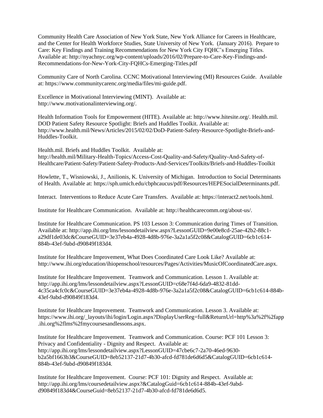Community Health Care Association of New York State, New York Alliance for Careers in Healthcare, and the Center for Health Workforce Studies, State University of New York. (January 2016). Prepare to Care: Key Findings and Training Recommendations for New York City FQHC's Emerging Titles. Available at: http://nyachnyc.org/wp-content/uploads/2016/02/Prepare-to-Care-Key-Findings-and-Recommendations-for-New-York-City-FQHCs-Emerging-Titles.pdf

Community Care of North Carolina. CCNC Motivational Interviewing (MI) Resources Guide. Available at: https://www.communitycarenc.org/media/files/mi-guide.pdf.

Excellence in Motivational Interviewing (MINT). Available at: http://www.motivationalinterviewing.org/.

Health Information Tools for Empowerment (HITE). Available at: http://www.hitesite.org/. Health.mil. DOD Patient Safety Resource Spotlight: Briefs and Huddles Toolkit. Available at: http://www.health.mil/News/Articles/2015/02/02/DoD-Patient-Safety-Resource-Spotlight-Briefs-and-Huddles-Toolkit.

Health.mil. Briefs and Huddles Toolkit. Available at: http://health.mil/Military-Health-Topics/Access-Cost-Quality-and-Safety/Quality-And-Safety-of-Healthcare/Patient-Safety/Patient-Safety-Products-And-Services/Toolkits/Briefs-and-Huddles-Toolkit

Howlette, T., Wisniowski, J., Anilionis, K. University of Michigan. Introduction to Social Determinants of Health. Available at: https://sph.umich.edu/cbphcaucus/pdf/Resources/HEPESocialDeterminants.pdf.

Interact. Interventions to Reduce Acute Care Transfers. Available at: https://interact2.net/tools.html.

Institute for Healthcare Communication. Available at: http://healthcarecomm.org/about-us/.

Institute for Healthcare Communication. PS 103 Lesson 3: Communication during Times of Transition. Available at: http://app.ihi.org/lms/lessondetailview.aspx?LessonGUID=9e00e8cd-25ae-42b2-88c1 a29df1de03dc&CourseGUID=3e37eb4a-4928-4d8b-976e-3a2a1a5f2c08&CatalogGUID=6cb1c614- 884b-43ef-9abd-d90849f183d4.

Institute for Healthcare Improvement, What Does Coordinated Care Look Like? Available at: http://www.ihi.org/education/ihiopenschool/resources/Pages/Activities/MusicOfCoordinatedCare.aspx.

Institute for Healthcare Improvement. Teamwork and Communication. Lesson 1. Available at: http://app.ihi.org/lms/lessondetailview.aspx?LessonGUID=c68e7f4d-6da9-4832-81dd-4c35ca4cfc0c&CourseGUID=3e37eb4a-4928-4d8b-976e-3a2a1a5f2c08&CatalogGUID=6cb1c614-884b-43ef-9abd-d90849f183d4.

Institute for Healthcare Improvement. Teamwork and Communication. Lesson 3. Available at: https://www.ihi.org/\_layouts/ihi/login/Login.aspx?DisplayUserReg=full&ReturnUrl=http%3a%2f%2fapp .ihi.org%2flms%2fmycoursesandlessons.aspx.

Institute for Healthcare Improvement. Teamwork and Communication. Course: PCF 101 Lesson 3: Privacy and Confidentiality - Dignity and Respect. Available at: http://app.ihi.org/lms/lessondetailview.aspx?LessonGUID=47cbe6c7-2a70-46ed-9630 b2a5bf1663b3&CourseGUID=8eb52137-21d7-4b30-afcd-fd781de6d6d5&CatalogGUID=6cb1c614- 884b-43ef-9abd-d90849f183d4.

Institute for Healthcare Improvement. Course: PCF 101: Dignity and Respect. Available at: http://app.ihi.org/lms/coursedetailview.aspx?&CatalogGuid=6cb1c614-884b-43ef-9abdd90849f183d4&CourseGuid=8eb52137-21d7-4b30-afcd-fd781de6d6d5.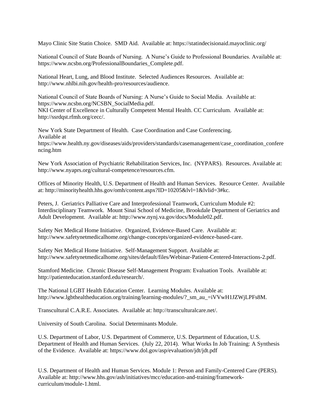Mayo Clinic Site Statin Choice. SMD Aid. Available at: https://statindecisionaid.mayoclinic.org/

National Council of State Boards of Nursing. A Nurse's Guide to Professional Boundaries. Available at: https://www.ncsbn.org/ProfessionalBoundaries\_Complete.pdf.

National Heart, Lung, and Blood Institute. Selected Audiences Resources. Available at: http://www.nhlbi.nih.gov/health-pro/resources/audience.

National Council of State Boards of Nursing: A Nurse's Guide to Social Media. Available at: https://www.ncsbn.org/NCSBN\_SocialMedia.pdf. NKI Center of Excellence in Culturally Competent Mental Health. CC Curriculum. Available at: http://ssrdqst.rfmh.org/cecc/.

New York State Department of Health. Case Coordination and Case Conferencing. Available at https://www.health.ny.gov/diseases/aids/providers/standards/casemanagement/case\_coordination\_confere ncing.htm

New York Association of Psychiatric Rehabilitation Services, Inc. (NYPARS). Resources. Available at: http://www.nyaprs.org/cultural-competence/resources.cfm.

Offices of Minority Health, U.S. Department of Health and Human Services. Resource Center. Available at: http://minorityhealth.hhs.gov/omh/content.aspx?ID=10205&lvl=1&lvlid=3#kc.

Peters, J. Geriatrics Palliative Care and Interprofessional Teamwork, Curriculum Module #2: Interdisciplinary Teamwork. Mount Sinai School of Medicine, Brookdale Department of Geriatrics and Adult Development. Available at: http://www.nynj.va.gov/docs/Module02.pdf.

Safety Net Medical Home Initiative. Organized, Evidence-Based Care. Available at: http://www.safetynetmedicalhome.org/change-concepts/organized-evidence-based-care.

Safety Net Medical Home Initiative. Self-Management Support. Available at: http://www.safetynetmedicalhome.org/sites/default/files/Webinar-Patient-Centered-Interactions-2.pdf.

Stamford Medicine. Chronic Disease Self-Management Program: Evaluation Tools. Available at: http://patienteducation.stanford.edu/research/.

The National LGBT Health Education Center. Learning Modules. Available at: http://www.lgbthealtheducation.org/training/learning-modules/? sm\_au\_=iVVwH1JZWjLPFs8M.

Transcultural C.A.R.E. Associates. Available at: http://transculturalcare.net/.

University of South Carolina. Social Determinants Module.

U.S. Department of Labor, U.S. Department of Commerce, U.S. Department of Education, U.S. Department of Health and Human Services. (July 22, 2014). What Works In Job Training: A Synthesis of the Evidence. Available at: https://www.dol.gov/asp/evaluation/jdt/jdt.pdf

U.S. Department of Health and Human Services. Module 1: Person and Family-Centered Care (PERS). Available at: http://www.hhs.gov/ash/initiatives/mcc/education-and-training/frameworkcurriculum/module-1.html.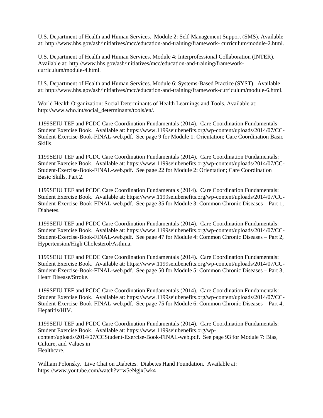U.S. Department of Health and Human Services. Module 2: Self-Management Support (SMS). Available at: http://www.hhs.gov/ash/initiatives/mcc/education-and-training/framework- curriculum/module-2.html.

U.S. Department of Health and Human Services. Module 4: Interprofessional Collaboration (INTER). Available at: http://www.hhs.gov/ash/initiatives/mcc/education-and-training/frameworkcurriculum/module-4.html.

U.S. Department of Health and Human Services. Module 6: Systems-Based Practice (SYST). Available at: http://www.hhs.gov/ash/initiatives/mcc/education-and-training/framework-curriculum/module-6.html.

World Health Organization: Social Determinants of Health Learnings and Tools. Available at: http://www.who.int/social\_determinants/tools/en/.

1199SEIU TEF and PCDC Care Coordination Fundamentals (2014). Care Coordination Fundamentals: Student Exercise Book. Available at: https://www.1199seiubenefits.org/wp-content/uploads/2014/07/CC-Student-Exercise-Book-FINAL-web.pdf. See page 9 for Module 1: Orientation; Care Coordination Basic Skills.

1199SEIU TEF and PCDC Care Coordination Fundamentals (2014). Care Coordination Fundamentals: Student Exercise Book. Available at: https://www.1199seiubenefits.org/wp-content/uploads/2014/07/CC-Student-Exercise-Book-FINAL-web.pdf. See page 22 for Module 2: Orientation; Care Coordination Basic Skills, Part 2.

1199SEIU TEF and PCDC Care Coordination Fundamentals (2014). Care Coordination Fundamentals: Student Exercise Book. Available at: https://www.1199seiubenefits.org/wp-content/uploads/2014/07/CC-Student-Exercise-Book-FINAL-web.pdf. See page 35 for Module 3: Common Chronic Diseases – Part 1, Diabetes.

1199SEIU TEF and PCDC Care Coordination Fundamentals (2014). Care Coordination Fundamentals: Student Exercise Book. Available at: https://www.1199seiubenefits.org/wp-content/uploads/2014/07/CC-Student-Exercise-Book-FINAL-web.pdf. See page 47 for Module 4: Common Chronic Diseases – Part 2, Hypertension/High Cholesterol/Asthma.

1199SEIU TEF and PCDC Care Coordination Fundamentals (2014). Care Coordination Fundamentals: Student Exercise Book. Available at: https://www.1199seiubenefits.org/wp-content/uploads/2014/07/CC-Student-Exercise-Book-FINAL-web.pdf. See page 50 for Module 5: Common Chronic Diseases – Part 3, Heart Disease/Stroke.

1199SEIU TEF and PCDC Care Coordination Fundamentals (2014). Care Coordination Fundamentals: Student Exercise Book. Available at: https://www.1199seiubenefits.org/wp-content/uploads/2014/07/CC-Student-Exercise-Book-FINAL-web.pdf. See page 75 for Module 6: Common Chronic Diseases – Part 4, Hepatitis/HIV.

1199SEIU TEF and PCDC Care Coordination Fundamentals (2014). Care Coordination Fundamentals: Student Exercise Book. Available at: https://www.1199seiubenefits.org/wpcontent/uploads/2014/07/CCStudent-Exercise-Book-FINAL-web.pdf. See page 93 for Module 7: Bias, Culture, and Values in Healthcare.

William Polonsky. Live Chat on Diabetes. Diabetes Hand Foundation. Available at: https://www.youtube.com/watch?v=w5eNgjxJwk4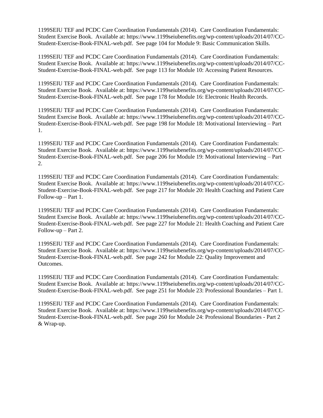1199SEIU TEF and PCDC Care Coordination Fundamentals (2014). Care Coordination Fundamentals: Student Exercise Book. Available at: https://www.1199seiubenefits.org/wp-content/uploads/2014/07/CC-Student-Exercise-Book-FINAL-web.pdf. See page 104 for Module 9: Basic Communication Skills.

1199SEIU TEF and PCDC Care Coordination Fundamentals (2014). Care Coordination Fundamentals: Student Exercise Book. Available at: https://www.1199seiubenefits.org/wp-content/uploads/2014/07/CC-Student-Exercise-Book-FINAL-web.pdf. See page 113 for Module 10: Accessing Patient Resources.

1199SEIU TEF and PCDC Care Coordination Fundamentals (2014). Care Coordination Fundamentals: Student Exercise Book. Available at: https://www.1199seiubenefits.org/wp-content/uploads/2014/07/CC-Student-Exercise-Book-FINAL-web.pdf. See page 178 for Module 16: Electronic Health Records.

1199SEIU TEF and PCDC Care Coordination Fundamentals (2014). Care Coordination Fundamentals: Student Exercise Book. Available at: https://www.1199seiubenefits.org/wp-content/uploads/2014/07/CC-Student-Exercise-Book-FINAL-web.pdf. See page 198 for Module 18: Motivational Interviewing – Part 1.

1199SEIU TEF and PCDC Care Coordination Fundamentals (2014). Care Coordination Fundamentals: Student Exercise Book. Available at: https://www.1199seiubenefits.org/wp-content/uploads/2014/07/CC-Student-Exercise-Book-FINAL-web.pdf. See page 206 for Module 19: Motivational Interviewing – Part 2.

1199SEIU TEF and PCDC Care Coordination Fundamentals (2014). Care Coordination Fundamentals: Student Exercise Book. Available at: https://www.1199seiubenefits.org/wp-content/uploads/2014/07/CC-Student-Exercise-Book-FINAL-web.pdf. See page 217 for Module 20: Health Coaching and Patient Care Follow-up – Part 1.

1199SEIU TEF and PCDC Care Coordination Fundamentals (2014). Care Coordination Fundamentals: Student Exercise Book. Available at: https://www.1199seiubenefits.org/wp-content/uploads/2014/07/CC-Student-Exercise-Book-FINAL-web.pdf. See page 227 for Module 21: Health Coaching and Patient Care Follow-up – Part 2.

1199SEIU TEF and PCDC Care Coordination Fundamentals (2014). Care Coordination Fundamentals: Student Exercise Book. Available at: https://www.1199seiubenefits.org/wp-content/uploads/2014/07/CC-Student-Exercise-Book-FINAL-web.pdf. See page 242 for Module 22: Quality Improvement and Outcomes.

1199SEIU TEF and PCDC Care Coordination Fundamentals (2014). Care Coordination Fundamentals: Student Exercise Book. Available at: https://www.1199seiubenefits.org/wp-content/uploads/2014/07/CC-Student-Exercise-Book-FINAL-web.pdf. See page 251 for Module 23: Professional Boundaries – Part 1.

1199SEIU TEF and PCDC Care Coordination Fundamentals (2014). Care Coordination Fundamentals: Student Exercise Book. Available at: https://www.1199seiubenefits.org/wp-content/uploads/2014/07/CC-Student-Exercise-Book-FINAL-web.pdf. See page 260 for Module 24: Professional Boundaries - Part 2 & Wrap-up.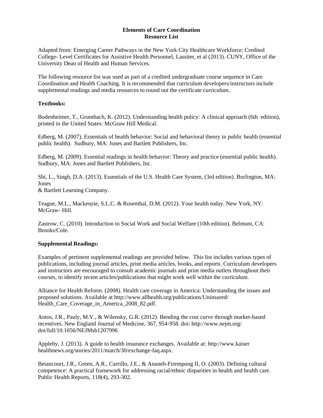#### **Elements of Care Coordination Resource List**

Adapted from: Emerging Career Pathways in the New York City Healthcare Workforce: Credited College- Level Certificates for Assistive Health Personnel, Lassiter, et al (2013). CUNY, Office of the University Dean of Health and Human Services.

The following resource list was used as part of a credited undergraduate course sequence in Care Coordination and Health Coaching. It is recommended that curriculum developers/instructors include supplemental readings and media resources to round out the certificate curriculum.

#### **Textbooks:**

Bodenheimer, T., Grumbach, K. (2012). Understanding health policy: A clinical approach (6th edition), printed in the United States: McGraw Hill Medical.

Edberg, M. (2007). Essentials of health behavior: Social and behavioral theory in public health (essential public health). Sudbury, MA: Jones and Bartlett Publishers, Inc.

Edberg, M. (2009). Essential readings in health behavior: Theory and practice (essential public health). Sudbury, MA: Jones and Bartlett Publishers, Inc.

Shi, L., Singh, D.A. (2013). Essentials of the U.S. Health Care System, (3rd edition). Burlington, MA: Jones

& Bartlett Learning Company.

Teague, M.L., Mackenzie, S.L.C. & Rosenthal, D.M. (2012). Your health today. New York, NY: McGraw- Hill.

Zastrow, C. (2010). Introduction to Social Work and Social Welfare (10th edition). Belmont, CA: Brooks/Cole.

## **Supplemental Readings:**

Examples of pertinent supplemental readings are provided below. This list includes various types of publications, including journal articles, print media articles, books, and reports. Curriculum developers and instructors are encouraged to consult academic journals and print media outlets throughout their courses, to identify recent articles/publications that might work well within the curriculum.

Alliance for Health Reform. (2008). Health care coverage in America: Understanding the issues and proposed solutions. Available at http://www.allhealth.org/publications/Uninsured/ Health Care Coverage in America 2008 82.pdf.

Antos, J.R., Pauly, M.V., & Wilensky, G.R. (2012). Bending the cost curve through market-based incentives. New England Journal of Medicine, 367, 954-958. doi: http://www.nejm.org/ doi/full/10.1056/NEJMsb1207996

Appleby, J. (2013). A guide to health insurance exchanges. Available at: http://www.kaiser healthnews.org/stories/2011/march/30/exchange-faq.aspx.

Betancourt, J.R., Green, A.R., Carrillo, J.E., & Ananeh-Firempong II, O. (2003). Defining cultural competence: A practical framework for addressing racial/ethnic disparities in health and health care. Public Health Reports, 118(4), 293-302.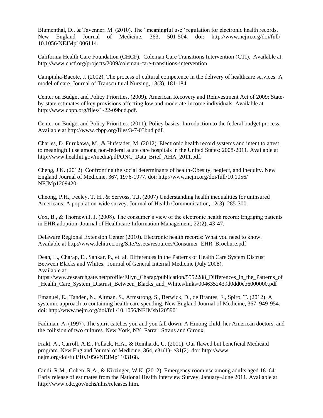Blumenthal, D., & Tavenner, M. (2010). The "meaningful use" regulation for electronic health records. New England Journal of Medicine, 363, 501-504. doi: http://www.nejm.org/doi/full/ 10.1056/NEJMp1006114.

California Health Care Foundation (CHCF). Coleman Care Transitions Intervention (CTI). Available at: http://www.chcf.org/projects/2009/coleman-care-transitions-intervention

Campinha-Bacote, J. (2002). The process of cultural competence in the delivery of healthcare services: A model of care. Journal of Transcultural Nursing, 13(3), 181-184.

Center on Budget and Policy Priorities. (2009). American Recovery and Reinvestment Act of 2009: Stateby-state estimates of key provisions affecting low and moderate-income individuals. Available at http://www.cbpp.org/files/1-22-09bud.pdf.

Center on Budget and Policy Priorities. (2011). Policy basics: Introduction to the federal budget process. Available at http://www.cbpp.org/files/3-7-03bud.pdf.

Charles, D. Furukawa, M., & Hufstader, M. (2012). Electronic health record systems and intent to attest to meaningful use among non-federal acute care hospitals in the United States: 2008-2011. Available at http://www.healthit.gov/media/pdf/ONC\_Data\_Brief\_AHA\_2011.pdf.

Cheng, J.K. (2012). Confronting the social determinants of health-Obesity, neglect, and inequity. New England Journal of Medicine, 367, 1976-1977. doi: http://www.nejm.org/doi/full/10.1056/ NEJMp1209420.

Cheong, P.H., Feeley, T. H., & Servoss, T.J. (2007) Understanding health inequalities for uninsured Americans: A population-wide survey. Journal of Health Communication, 12(3), 285-300.

Cox, B., & Thornewill, J. (2008). The consumer's view of the electronic health record: Engaging patients in EHR adoption. Journal of Healthcare Information Management, 22(2), 43-47.

Delaware Regional Extension Center (2010). Electronic health records: What you need to know. Available at http://www.dehitrec.org/SiteAssets/resources/Consumer\_EHR\_Brochure.pdf

Dean, L., Charap, E., Sankar, P., et. al. Differences in the Patterns of Health Care System Distrust Between Blacks and Whites. Journal of General Internal Medicine (July 2008). Available at:

https://www.researchgate.net/profile/Ellyn\_Charap/publication/5552288\_Differences\_in\_the\_Patterns\_of \_Health\_Care\_System\_Distrust\_Between\_Blacks\_and\_Whites/links/0046352439d0dd0eb6000000.pdf

Emanuel, E., Tanden, N., Altman, S., Armstrong, S., Berwick, D., de Brantes, F., Spiro, T. (2012). A systemic approach to containing health care spending. New England Journal of Medicine, 367, 949-954. doi: http://www.nejm.org/doi/full/10.1056/NEJMsb1205901

Fadiman, A. (1997). The spirit catches you and you fall down: A Hmong child, her American doctors, and the collision of two cultures. New York, NY: Farrar, Straus and Giroux.

Frakt, A., Carroll, A.E., Pollack, H.A., & Reinhardt, U. (2011). Our flawed but beneficial Medicaid program. New England Journal of Medicine, 364, e31(1)- e31(2). doi: http://www. nejm.org/doi/full/10.1056/NEJMp1103168.

Gindi, R.M., Cohen, R.A., & Kirzinger, W.K. (2012). Emergency room use among adults aged 18–64: Early release of estimates from the National Health Interview Survey, January–June 2011. Available at http://www.cdc.gov/nchs/nhis/releases.htm.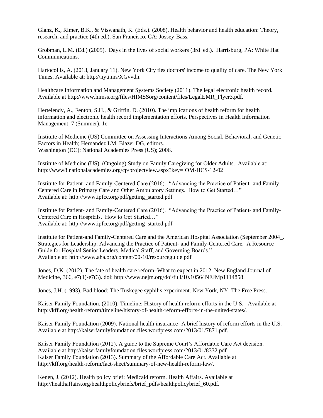Glanz, K., Rimer, B.K., & Viswanath, K. (Eds.). (2008). Health behavior and health education: Theory, research, and practice (4th ed.). San Francisco, CA: Jossey-Bass.

Grobman, L.M. (Ed.) (2005). Days in the lives of social workers (3rd ed.). Harrisburg, PA: White Hat Communications.

Hartocollis, A. (2013, January 11). New York City ties doctors' income to quality of care. The New York Times. Available at: http://nyti.ms/XGvvdn.

Healthcare Information and Management Systems Society (2011). The legal electronic health record. Available at http://www.himss.org/files/HIMSSorg/content/files/LegalEMR\_Flyer3.pdf.

Hertelendy, A., Fenton, S.H., & Griffin, D. (2010). The implications of health reform for health information and electronic health record implementation efforts. Perspectives in Health Information Management, 7 (Summer), 1e.

Institute of Medicine (US) Committee on Assessing Interactions Among Social, Behavioral, and Genetic Factors in Health; Hernandez LM, Blazer DG, editors. Washington (DC): National Academies Press (US); 2006.

Institute of Medicine (US). (Ongoing) Study on Family Caregiving for Older Adults. Available at: http://www8.nationalacademies.org/cp/projectview.aspx?key=IOM-HCS-12-02

Institute for Patient- and Family-Centered Care (2016). "Advancing the Practice of Patient- and Family-Centered Care in Primary Care and Other Ambulatory Settings. How to Get Started…" Available at: http://www.ipfcc.org/pdf/getting\_started.pdf

Institute for Patient- and Family-Centered Care (2016). "Advancing the Practice of Patient- and Family-Centered Care in Hospitals. How to Get Started…" Available at: http://www.ipfcc.org/pdf/getting\_started.pdf

Institute for Patient-and Family-Centered Care and the American Hospital Association (September 2004\_. Strategies for Leadership: Advancing the Practice of Patient- and Family-Centered Care. A Resource Guide for Hospital Senior Leaders, Medical Staff, and Governing Boards." Available at: http://www.aha.org/content/00-10/resourceguide.pdf

Jones, D.K. (2012). The fate of health care reform–What to expect in 2012. New England Journal of Medicine, 366, e7(1)-e7(3). doi: http://www.nejm.org/doi/full/10.1056/ NEJMp1114858.

Jones, J.H. (1993). Bad blood: The Tuskegee syphilis experiment. New York, NY: The Free Press.

Kaiser Family Foundation. (2010). Timeline: History of health reform efforts in the U.S. Available at http://kff.org/health-reform/timeline/history-of-health-reform-efforts-in-the-united-states/.

Kaiser Family Foundation (2009). National health insurance- A brief history of reform efforts in the U.S. Available at http://kaiserfamilyfoundation.files.wordpress.com/2013/01/7871.pdf.

Kaiser Family Foundation (2012). A guide to the Supreme Court's Affordable Care Act decision. Available at http://kaiserfamilyfoundation.files.wordpress.com/2013/01/8332.pdf Kaiser Family Foundation (2013). Summary of the Affordable Care Act. Available at http://kff.org/health-reform/fact-sheet/summary-of-new-health-reform-law/.

Kenen, J. (2012). Health policy brief: Medicaid reform. Health Affairs. Available at http://healthaffairs.org/healthpolicybriefs/brief\_pdfs/healthpolicybrief\_60.pdf.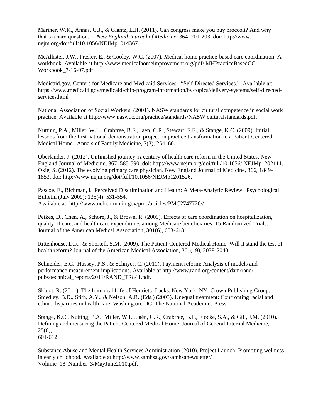Mariner, W.K., Annas, G.J., & Glantz, L.H. (2011). Can congress make you buy broccoli? And why that's a hard question. *New England Journal of Medicine*, 364, 201-203. doi: http://www. nejm.org/doi/full/10.1056/NEJMp1014367.

McAllister, J.W., Presler, E., & Cooley, W.C. (2007). Medical home practice-based care coordination: A workbook. Available at http://www.medicalhomeimprovement.org/pdf/ MHPracticeBasedCC-Workbook\_7-16-07.pdf.

Medicaid.gov, Centers for Medicare and Medicaid Services. "Self-Directed Services." Available at: https://www.medicaid.gov/medicaid-chip-program-information/by-topics/delivery-systems/self-directedservices.html

National Association of Social Workers. (2001). NASW standards for cultural competence in social work practice. Available at http://www.naswdc.org/practice/standards/NASW culturalstandards.pdf.

Nutting, P.A., Miller, W.L., Crabtree, B.F., Jaén, C.R., Stewart, E.E., & Stange, K.C. (2009). Initial lessons from the first national demonstration project on practice transformation to a Patient-Centered Medical Home. Annals of Family Medicine, 7(3), 254–60.

Oberlander, J. (2012). Unfinished journey-A century of health care reform in the United States. New England Journal of Medicine, 367, 585-590. doi: http://www.nejm.org/doi/full/10.1056/ NEJMp1202111. Okie, S. (2012). The evolving primary care physician. New England Journal of Medicine, 366, 1849- 1853. doi: http://www.nejm.org/doi/full/10.1056/NEJMp1201526.

Pascoe, E., Richman, l. Perceived Discrimination and Health: A Meta-Analytic Review. Psychological Bulletin (July 2009); 135(4): 531-554. Available at: http://www.ncbi.nlm.nih.gov/pmc/articles/PMC2747726//

Peikes, D., Chen, A., Schore, J., & Brown, R. (2009). Effects of care coordination on hospitalization, quality of care, and health care expenditures among Medicare beneficiaries: 15 Randomized Trials. Journal of the American Medical Association, 301(6), 603-618.

Rittenhouse, D.R., & Shortell, S.M. (2009). The Patient-Centered Medical Home: Will it stand the test of health reform? Journal of the American Medical Association, 301(19), 2038-2040.

Schneider, E.C., Hussey, P.S., & Schnyer, C. (2011). Payment reform: Analysis of models and performance measurement implications. Available at http://www.rand.org/content/dam/rand/ pubs/technical\_reports/2011/RAND\_TR841.pdf.

Skloot, R. (2011). The Immortal Life of Henrietta Lacks. New York, NY: Crown Publishing Group. Smedley, B.D., Stith, A.Y., & Nelson, A.R. (Eds.) (2003). Unequal treatment: Confronting racial and ethnic disparities in health care. Washington, DC: The National Academies Press.

Stange, K.C., Nutting, P.A., Miller, W.L., Jaén, C.R., Crabtree, B.F., Flocke, S.A., & Gill, J.M. (2010). Defining and measuring the Patient-Centered Medical Home. Journal of General Internal Medicine,  $25(6)$ , 601-612.

Substance Abuse and Mental Health Services Administration (2010). Project Launch: Promoting wellness in early childhood. Available at http://www.samhsa.gov/samhsanewsletter/ Volume\_18\_Number\_3/MayJune2010.pdf.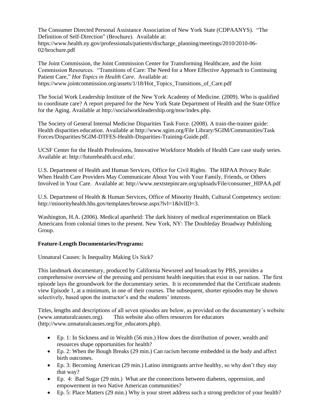The Consumer Directed Personal Assistance Association of New York State (CDPAANYS). "The Definition of Self-Direction" (Brochure). Available at: https://www.health.ny.gov/professionals/patients/discharge\_planning/meetings/2010/2010-06- 02/brochure.pdf

The Joint Commission, the Joint Commission Center for Transforming Healthcare, and the Joint Commission Resources. "Transitions of Care: The Need for a More Effective Approach to Continuing Patient Care," *Hot Topics in Health Care*. Available at: https://www.jointcommission.org/assets/1/18/Hot\_Topics\_Transitions\_of\_Care.pdf

The Social Work Leadership Institute of the New York Academy of Medicine. (2009). Who is qualified to coordinate care? A report prepared for the New York State Department of Health and the State Office for the Aging. Available at http://socialworkleadership.org/nsw/index.php.

The Society of General Internal Medicine Disparities Task Force. (2008). A train-the-trainer guide: Health disparities education. Available at http://www.sgim.org/File Library/SGIM/Communities/Task Forces/Disparities/SGIM-DTFES-Health-Disparities-Training-Guide.pdf.

UCSF Center for the Health Professions, Innovative Workforce Models of Health Care case study series. Available at: http://futurehealth.ucsf.edu/.

U.S. Department of Health and Human Services, Office for Civil Rights. The HIPAA Privacy Rule: When Health Care Providers May Communicate About You with Your Family, Friends, or Others Involved in Your Care. Available at: http://www.nextstepincare.org/uploads/File/consumer\_HIPAA.pdf

U.S. Department of Health & Human Services, Office of Minority Health, Cultural Competency section: http://minorityhealth.hhs.gov/templates/browse.aspx?lvl=1&lvlID=3.

Washington, H.A. (2006). Medical apartheid: The dark history of medical experimentation on Black Americans from colonial times to the present. New York, NY: The Doubleday Broadway Publishing Group.

#### **Feature-Length Documentaries/Programs:**

Unnatural Causes: Is Inequality Making Us Sick?

This landmark documentary, produced by California Newsreel and broadcast by PBS, provides a comprehensive overview of the pressing and persistent health inequities that exist in our nation. The first episode lays the groundwork for the documentary series. It is recommended that the Certificate students view Episode 1, at a minimum, in one of their courses. The subsequent, shorter episodes may be shown selectively, based upon the instructor's and the students' interests.

Titles, lengths and descriptions of all seven episodes are below, as provided on the documentary's website (www.unnaturalcauses.org). This website also offers resources for educators (http://www.unnaturalcauses.org/for\_educators.php).

- Ep. 1: In Sickness and in Wealth (56 min.) How does the distribution of power, wealth and resources shape opportunities for health?
- Ep. 2: When the Bough Breaks (29 min.) Can racism become embedded in the body and affect birth outcomes.
- Ep. 3: Becoming American (29 min.) Latino immigrants arrive healthy, so why don't they stay that way?
- Ep. 4: Bad Sugar (29 min.) What are the connections between diabetes, oppression, and empowerment in two Native American communities?
- Ep. 5: Place Matters (29 min.) Why is your street address such a strong predictor of your health?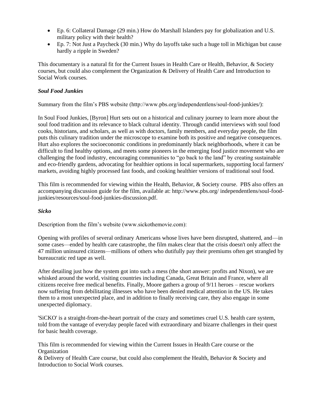- Ep. 6: Collateral Damage (29 min.) How do Marshall Islanders pay for globalization and U.S. military policy with their health?
- Ep. 7: Not Just a Paycheck (30 min.) Why do layoffs take such a huge toll in Michigan but cause hardly a ripple in Sweden?

This documentary is a natural fit for the Current Issues in Health Care or Health, Behavior, & Society courses, but could also complement the Organization & Delivery of Health Care and Introduction to Social Work courses.

#### *Soul Food Junkies*

Summary from the film's PBS website (http://www.pbs.org/independentlens/soul-food-junkies/):

In Soul Food Junkies, [Byron] Hurt sets out on a historical and culinary journey to learn more about the soul food tradition and its relevance to black cultural identity. Through candid interviews with soul food cooks, historians, and scholars, as well as with doctors, family members, and everyday people, the film puts this culinary tradition under the microscope to examine both its positive and negative consequences. Hurt also explores the socioeconomic conditions in predominantly black neighborhoods, where it can be difficult to find healthy options, and meets some pioneers in the emerging food justice movement who are challenging the food industry, encouraging communities to "go back to the land" by creating sustainable and eco-friendly gardens, advocating for healthier options in local supermarkets, supporting local farmers' markets, avoiding highly processed fast foods, and cooking healthier versions of traditional soul food.

This film is recommended for viewing within the Health, Behavior, & Society course. PBS also offers an accompanying discussion guide for the film, available at: http://www.pbs.org/ independentlens/soul-foodjunkies/resources/soul-food-junkies-discussion.pdf.

#### *Sicko*

Description from the film's website (www.sickothemovie.com):

Opening with profiles of several ordinary Americans whose lives have been disrupted, shattered, and—in some cases—ended by health care catastrophe, the film makes clear that the crisis doesn't only affect the 47 million uninsured citizens—millions of others who dutifully pay their premiums often get strangled by bureaucratic red tape as well.

After detailing just how the system got into such a mess (the short answer: profits and Nixon), we are whisked around the world, visiting countries including Canada, Great Britain and France, where all citizens receive free medical benefits. Finally, Moore gathers a group of 9/11 heroes – rescue workers now suffering from debilitating illnesses who have been denied medical attention in the US. He takes them to a most unexpected place, and in addition to finally receiving care, they also engage in some unexpected diplomacy.

'SiCKO' is a straight-from-the-heart portrait of the crazy and sometimes cruel U.S. health care system, told from the vantage of everyday people faced with extraordinary and bizarre challenges in their quest for basic health coverage.

This film is recommended for viewing within the Current Issues in Health Care course or the **Organization** 

& Delivery of Health Care course, but could also complement the Health, Behavior & Society and Introduction to Social Work courses.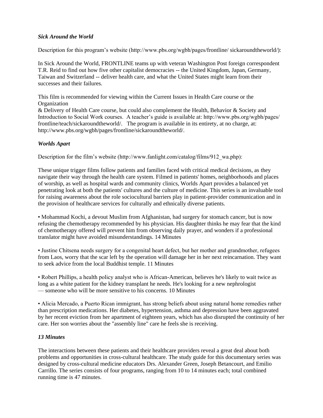#### *Sick Around the World*

Description for this program's website (http://www.pbs.org/wgbh/pages/frontline/ sickaroundtheworld/):

In Sick Around the World, FRONTLINE teams up with veteran Washington Post foreign correspondent T.R. Reid to find out how five other capitalist democracies -- the United Kingdom, Japan, Germany, Taiwan and Switzerland -- deliver health care, and what the United States might learn from their successes and their failures.

This film is recommended for viewing within the Current Issues in Health Care course or the Organization

& Delivery of Health Care course, but could also complement the Health, Behavior & Society and Introduction to Social Work courses. A teacher's guide is available at: http://www.pbs.org/wgbh/pages/ frontline/teach/sickaroundtheworld/. The program is available in its entirety, at no charge, at: http://www.pbs.org/wgbh/pages/frontline/sickaroundtheworld/.

## *Worlds Apart*

Description for the film's website (http://www.fanlight.com/catalog/films/912\_wa.php):

These unique trigger films follow patients and families faced with critical medical decisions, as they navigate their way through the health care system. Filmed in patients' homes, neighborhoods and places of worship, as well as hospital wards and community clinics, Worlds Apart provides a balanced yet penetrating look at both the patients' cultures and the culture of medicine. This series is an invaluable tool for raising awareness about the role sociocultural barriers play in patient-provider communication and in the provision of healthcare services for culturally and ethnically diverse patients.

• Mohammad Kochi, a devout Muslim from Afghanistan, had surgery for stomach cancer, but is now refusing the chemotherapy recommended by his physician. His daughter thinks he may fear that the kind of chemotherapy offered will prevent him from observing daily prayer, and wonders if a professional translator might have avoided misunderstandings. 14 Minutes

• Justine Chitsena needs surgery for a congenital heart defect, but her mother and grandmother, refugees from Laos, worry that the scar left by the operation will damage her in her next reincarnation. They want to seek advice from the local Buddhist temple. 11 Minutes

• Robert Phillips, a health policy analyst who is African-American, believes he's likely to wait twice as long as a white patient for the kidney transplant he needs. He's looking for a new nephrologist — someone who will be more sensitive to his concerns. 10 Minutes

• Alicia Mercado, a Puerto Rican immigrant, has strong beliefs about using natural home remedies rather than prescription medications. Her diabetes, hypertension, asthma and depression have been aggravated by her recent eviction from her apartment of eighteen years, which has also disrupted the continuity of her care. Her son worries about the "assembly line" care he feels she is receiving.

## *13 Minutes*

The interactions between these patients and their healthcare providers reveal a great deal about both problems and opportunities in cross-cultural healthcare. The study guide for this documentary series was designed by cross-cultural medicine educators Drs. Alexander Green, Joseph Betancourt, and Emilio Carrillo. The series consists of four programs, ranging from 10 to 14 minutes each; total combined running time is 47 minutes.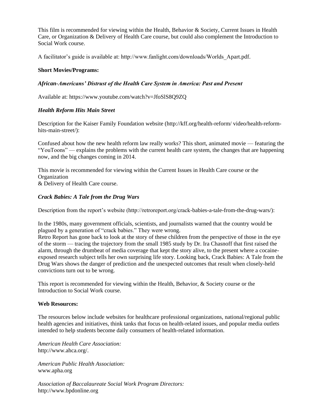This film is recommended for viewing within the Health, Behavior & Society, Current Issues in Health Care, or Organization & Delivery of Health Care course, but could also complement the Introduction to Social Work course.

A facilitator's guide is available at: http://www.fanlight.com/downloads/Worlds\_Apart.pdf.

#### **Short Movies/Programs:**

#### *African-Americans' Distrust of the Health Care System in America: Past and Present*

Available at: https://www.youtube.com/watch?v=JfoSlS8Q9ZQ

#### *Health Reform Hits Main Street*

Description for the Kaiser Family Foundation website (http://kff.org/health-reform/ video/health-reformhits-main-street/):

Confused about how the new health reform law really works? This short, animated movie — featuring the "YouToons" — explains the problems with the current health care system, the changes that are happening now, and the big changes coming in 2014.

This movie is recommended for viewing within the Current Issues in Health Care course or the **Organization** & Delivery of Health Care course.

#### *Crack Babies: A Tale from the Drug Wars*

Description from the report's website (http://retroreport.org/crack-babies-a-tale-from-the-drug-wars/):

In the 1980s, many government officials, scientists, and journalists warned that the country would be plagued by a generation of "crack babies." They were wrong.

Retro Report has gone back to look at the story of these children from the perspective of those in the eye of the storm — tracing the trajectory from the small 1985 study by Dr. Ira Chasnoff that first raised the alarm, through the drumbeat of media coverage that kept the story alive, to the present where a cocaineexposed research subject tells her own surprising life story. Looking back, Crack Babies: A Tale from the Drug Wars shows the danger of prediction and the unexpected outcomes that result when closely-held convictions turn out to be wrong.

This report is recommended for viewing within the Health, Behavior, & Society course or the Introduction to Social Work course.

#### **Web Resources:**

The resources below include websites for healthcare professional organizations, national/regional public health agencies and initiatives, think tanks that focus on health-related issues, and popular media outlets intended to help students become daily consumers of health-related information.

*American Health Care Association:* http://www.ahca.org/.

*American Public Health Association:* www.apha.org

*Association of Baccalaureate Social Work Program Directors:* http://www.bpdonline.org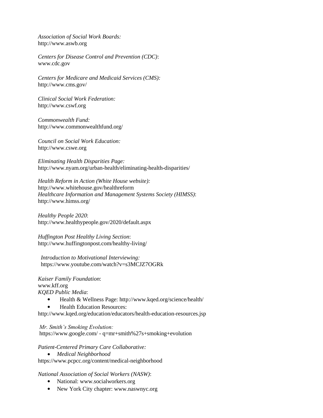*Association of Social Work Boards:* http://www.aswb.org

*Centers for Disease Control and Prevention (CDC)*: [www.cdc.gov](http://www.cdc.gov/)

*Centers for Medicare and Medicaid Services (CMS):* <http://www.cms.gov/>

*Clinical Social Work Federation:* [http://www.cswf.org](http://www.cswf.org/)

*Commonwealth Fund:* <http://www.commonwealthfund.org/>

*Council on Social Work Education:* [http://www.cswe.org](http://www.cswe.org/)

*Eliminating Health Disparities Page:* <http://www.nyam.org/urban-health/eliminating-health-disparities/>

*Health Reform in Action (White House website):* <http://www.whitehouse.gov/healthreform> *Healthcare Information and Management Systems Society (HIMSS)*: <http://www.himss.org/>

*Healthy People 2020*: <http://www.healthypeople.gov/2020/default.aspx>

*Huffington Post Healthy Living Section*: <http://www.huffingtonpost.com/healthy-living/>

 *Introduction to Motivational Interviewing:* https://www.youtube.com/watch?v=s3MCJZ7OGRk

*Kaiser Family Foundation*: [www.kff.org](http://www.kff.org/) *KQED Public Media*:

- Health & Wellness Page: <http://www.kqed.org/science/health/>
- Health Education Resources:

<http://www.kqed.org/education/educators/health-education-resources.jsp>

*Mr. Smith's Smoking Evolution:*  https://www.google.com/ - q=mr+smith%27s+smoking+evolution

*Patient-Centered Primary Care Collaborative:*

*Medical Neighborhood*

https://www.pcpcc.org/content/medical-neighborhood

*National Association of Social Workers (NASW)*:

- National: [www.socialworkers.org](http://www.socialworkers.org/)
- New York City chapter: [www.naswnyc.org](http://www.naswnyc.org/)